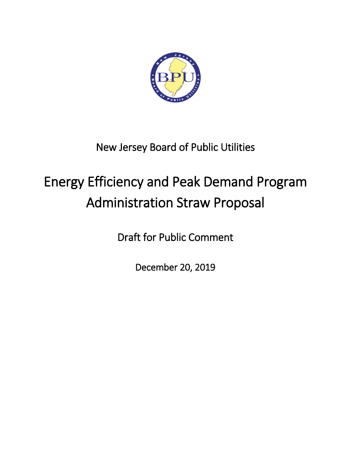

## New Jersey Board of Public Utilities

# Energy Efficiency and Peak Demand Program Administration Straw Proposal

Draft for Public Comment

December 20, 2019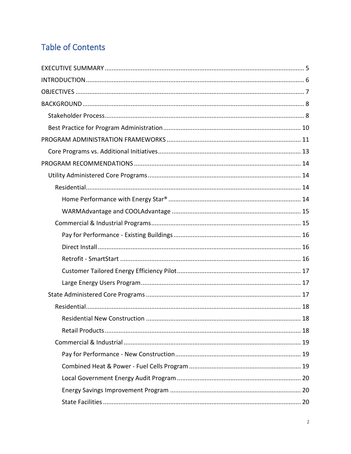## **Table of Contents**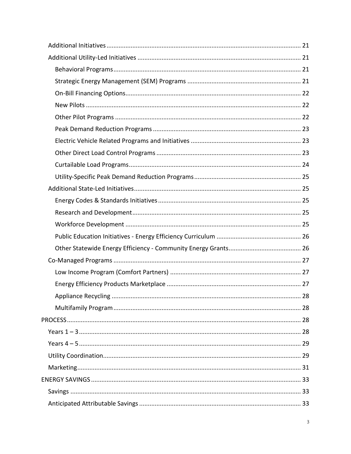| . 28 |
|------|
|      |
|      |
|      |
|      |
|      |
|      |
|      |
|      |
|      |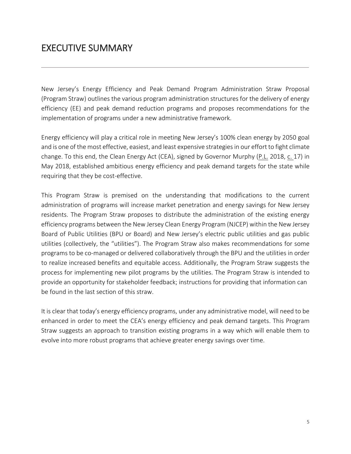## <span id="page-4-0"></span>EXECUTIVE SUMMARY

New Jersey's Energy Efficiency and Peak Demand Program Administration Straw Proposal (Program Straw) outlines the various program administration structures for the delivery of energy efficiency (EE) and peak demand reduction programs and proposes recommendations for the implementation of programs under a new administrative framework.

Energy efficiency will play a critical role in meeting New Jersey's 100% clean energy by 2050 goal and is one of the most effective, easiest, and least expensive strategiesin our effort to fight climate change. To this end, the Clean Energy Act (CEA), signed by Governor Murphy (P.L. 2018, c. 17) in May 2018, established ambitious energy efficiency and peak demand targets for the state while requiring that they be cost-effective.

This Program Straw is premised on the understanding that modifications to the current administration of programs will increase market penetration and energy savings for New Jersey residents. The Program Straw proposes to distribute the administration of the existing energy efficiency programs between the New Jersey Clean Energy Program (NJCEP) within the New Jersey Board of Public Utilities (BPU or Board) and New Jersey's electric public utilities and gas public utilities (collectively, the "utilities"). The Program Straw also makes recommendations for some programs to be co-managed or delivered collaboratively through the BPU and the utilities in order to realize increased benefits and equitable access. Additionally, the Program Straw suggests the process for implementing new pilot programs by the utilities. The Program Straw is intended to provide an opportunity for stakeholder feedback; instructions for providing that information can be found in the last section of this straw.

<span id="page-4-1"></span>It is clear that today's energy efficiency programs, under any administrative model, will need to be enhanced in order to meet the CEA's energy efficiency and peak demand targets. This Program Straw suggests an approach to transition existing programs in a way which will enable them to evolve into more robust programs that achieve greater energy savings over time.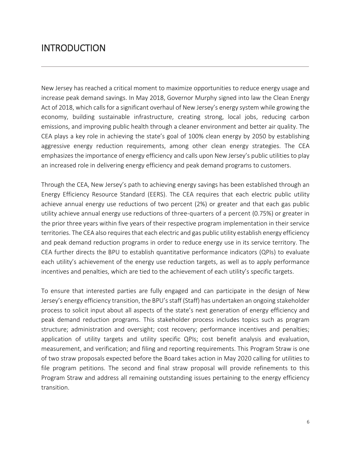## **INTRODUCTION**

New Jersey has reached a critical moment to maximize opportunities to reduce energy usage and increase peak demand savings. In May 2018, Governor Murphy signed into law the Clean Energy Act of 2018, which calls for a significant overhaul of New Jersey's energy system while growing the economy, building sustainable infrastructure, creating strong, local jobs, reducing carbon emissions, and improving public health through a cleaner environment and better air quality. The CEA plays a key role in achieving the state's goal of 100% clean energy by 2050 by establishing aggressive energy reduction requirements, among other clean energy strategies. The CEA emphasizes the importance of energy efficiency and calls upon New Jersey's public utilities to play an increased role in delivering energy efficiency and peak demand programs to customers.

Through the CEA, New Jersey's path to achieving energy savings has been established through an Energy Efficiency Resource Standard (EERS). The CEA requires that each electric public utility achieve annual energy use reductions of two percent (2%) or greater and that each gas public utility achieve annual energy use reductions of three-quarters of a percent (0.75%) or greater in the prior three years within five years of their respective program implementation in their service territories. The CEA also requires that each electric and gas public utility establish energy efficiency and peak demand reduction programs in order to reduce energy use in its service territory. The CEA further directs the BPU to establish quantitative performance indicators (QPIs) to evaluate each utility's achievement of the energy use reduction targets, as well as to apply performance incentives and penalties, which are tied to the achievement of each utility's specific targets.

To ensure that interested parties are fully engaged and can participate in the design of New Jersey's energy efficiency transition, the BPU's staff (Staff) has undertaken an ongoing stakeholder process to solicit input about all aspects of the state's next generation of energy efficiency and peak demand reduction programs. This stakeholder process includes topics such as program structure; administration and oversight; cost recovery; performance incentives and penalties; application of utility targets and utility specific QPIs; cost benefit analysis and evaluation, measurement, and verification; and filing and reporting requirements. This Program Straw is one of two straw proposals expected before the Board takes action in May 2020 calling for utilities to file program petitions. The second and final straw proposal will provide refinements to this Program Straw and address all remaining outstanding issues pertaining to the energy efficiency transition.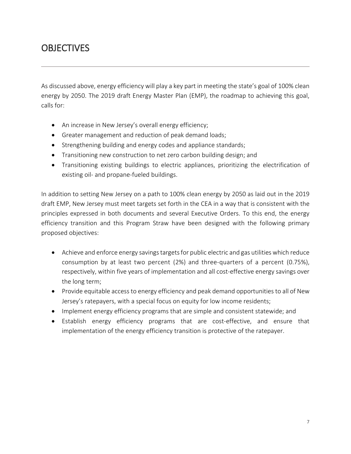## <span id="page-6-0"></span>**OBJECTIVES**

As discussed above, energy efficiency will play a key part in meeting the state's goal of 100% clean energy by 2050. The 2019 draft Energy Master Plan (EMP), the roadmap to achieving this goal, calls for:

- An increase in New Jersey's overall energy efficiency;
- Greater management and reduction of peak demand loads;
- Strengthening building and energy codes and appliance standards;
- Transitioning new construction to net zero carbon building design; and
- Transitioning existing buildings to electric appliances, prioritizing the electrification of existing oil- and propane-fueled buildings.

In addition to setting New Jersey on a path to 100% clean energy by 2050 as laid out in the 2019 draft EMP, New Jersey must meet targets set forth in the CEA in a way that is consistent with the principles expressed in both documents and several Executive Orders. To this end, the energy efficiency transition and this Program Straw have been designed with the following primary proposed objectives:

- Achieve and enforce energy savings targets for public electric and gas utilities which reduce consumption by at least two percent (2%) and three-quarters of a percent (0.75%), respectively, within five years of implementation and all cost-effective energy savings over the long term;
- Provide equitable access to energy efficiency and peak demand opportunities to all of New Jersey's ratepayers, with a special focus on equity for low income residents;
- Implement energy efficiency programs that are simple and consistent statewide; and
- <span id="page-6-1"></span>• Establish energy efficiency programs that are cost-effective, and ensure that implementation of the energy efficiency transition is protective of the ratepayer.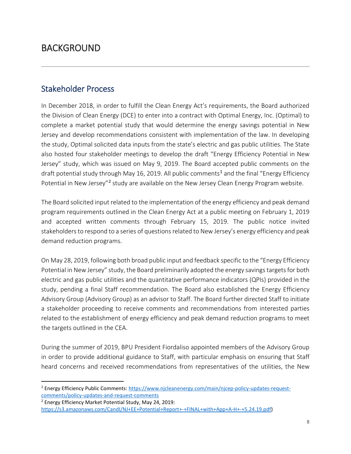## BACKGROUND

### <span id="page-7-0"></span>Stakeholder Process

In December 2018, in order to fulfill the Clean Energy Act's requirements, the Board authorized the Division of Clean Energy (DCE) to enter into a contract with Optimal Energy, Inc. (Optimal) to complete a market potential study that would determine the energy savings potential in New Jersey and develop recommendations consistent with implementation of the law. In developing the study, Optimal solicited data inputs from the state's electric and gas public utilities. The State also hosted four stakeholder meetings to develop the draft "Energy Efficiency Potential in New Jersey" study, which was issued on May 9, 2019. The Board accepted public comments on the draft potential study through May [1](#page-7-1)6, 2019. All public comments<sup>1</sup> and the final "Energy Efficiency Potential in New Jersey"<sup>[2](#page-7-2)</sup> study are available on the New Jersey Clean Energy Program website.

The Board solicited input related to the implementation of the energy efficiency and peak demand program requirements outlined in the Clean Energy Act at a public meeting on February 1, 2019 and accepted written comments through February 15, 2019. The public notice invited stakeholders to respond to a series of questions related to New Jersey's energy efficiency and peak demand reduction programs.

On May 28, 2019, following both broad public input and feedback specific to the "Energy Efficiency Potential in New Jersey" study, the Board preliminarily adopted the energy savings targets for both electric and gas public utilities and the quantitative performance indicators (QPIs) provided in the study, pending a final Staff recommendation. The Board also established the Energy Efficiency Advisory Group (Advisory Group) as an advisor to Staff. The Board further directed Staff to initiate a stakeholder proceeding to receive comments and recommendations from interested parties related to the establishment of energy efficiency and peak demand reduction programs to meet the targets outlined in the CEA.

During the summer of 2019, BPU President Fiordaliso appointed members of the Advisory Group in order to provide additional guidance to Staff, with particular emphasis on ensuring that Staff heard concerns and received recommendations from representatives of the utilities, the New

<span id="page-7-1"></span> <sup>1</sup> Energy Efficiency Public Comments[: https://www.njcleanenergy.com/main/njcep-policy-updates-request](https://www.njcleanenergy.com/main/njcep-policy-updates-request-comments/policy-updates-and-request-comments)[comments/policy-updates-and-request-comments](https://www.njcleanenergy.com/main/njcep-policy-updates-request-comments/policy-updates-and-request-comments)

<span id="page-7-2"></span><sup>2</sup> Energy Efficiency Market Potential Study, May 24, 2019:

[https://s3.amazonaws.com/CandI/NJ+EE+Potential+Report+-+FINAL+with+App+A-H+-+5.24.19.pdf\)](https://s3.amazonaws.com/CandI/NJ+EE+Potential+Report+-+FINAL+with+App+A-H+-+5.24.19.pdf)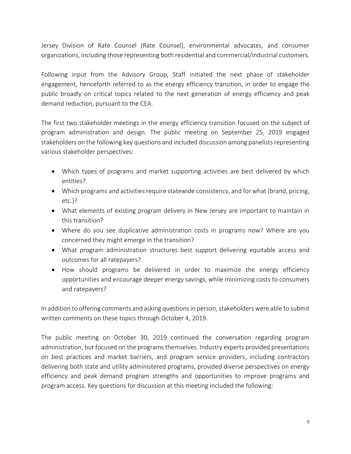Jersey Division of Rate Counsel (Rate Counsel), environmental advocates, and consumer organizations, including those representing both residential and commercial/industrial customers.

Following input from the Advisory Group, Staff initiated the next phase of stakeholder engagement, henceforth referred to as the energy efficiency transition, in order to engage the public broadly on critical topics related to the next generation of energy efficiency and peak demand reduction, pursuant to the CEA.

The first two stakeholder meetings in the energy efficiency transition focused on the subject of program administration and design. The public meeting on September 25, 2019 engaged stakeholders on the following key questions and included discussion among panelists representing various stakeholder perspectives:

- Which types of programs and market supporting activities are best delivered by which entities?
- Which programs and activities require statewide consistency, and for what (brand, pricing, etc.)?
- What elements of existing program delivery in New Jersey are important to maintain in this transition?
- Where do you see duplicative administration costs in programs now? Where are you concerned they might emerge in the transition?
- What program administration structures best support delivering equitable access and outcomes for all ratepayers?
- How should programs be delivered in order to maximize the energy efficiency opportunities and encourage deeper energy savings, while minimizing costs to consumers and ratepayers?

In addition to offering comments and asking questions in person, stakeholders were able to submit written comments on these topics through October 4, 2019.

The public meeting on October 30, 2019 continued the conversation regarding program administration, but focused on the programs themselves. Industry experts provided presentations on best practices and market barriers, and program service providers, including contractors delivering both state and utility administered programs, provided diverse perspectives on energy efficiency and peak demand program strengths and opportunities to improve programs and program access. Key questions for discussion at this meeting included the following: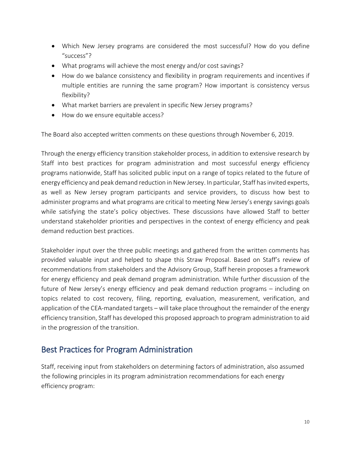- Which New Jersey programs are considered the most successful? How do you define "success"?
- What programs will achieve the most energy and/or cost savings?
- How do we balance consistency and flexibility in program requirements and incentives if multiple entities are running the same program? How important is consistency versus flexibility?
- What market barriers are prevalent in specific New Jersey programs?
- How do we ensure equitable access?

The Board also accepted written comments on these questions through November 6, 2019.

Through the energy efficiency transition stakeholder process, in addition to extensive research by Staff into best practices for program administration and most successful energy efficiency programs nationwide, Staff has solicited public input on a range of topics related to the future of energy efficiency and peak demand reduction in New Jersey. In particular, Staff has invited experts, as well as New Jersey program participants and service providers, to discuss how best to administer programs and what programs are critical to meeting New Jersey's energy savings goals while satisfying the state's policy objectives. These discussions have allowed Staff to better understand stakeholder priorities and perspectives in the context of energy efficiency and peak demand reduction best practices.

Stakeholder input over the three public meetings and gathered from the written comments has provided valuable input and helped to shape this Straw Proposal. Based on Staff's review of recommendations from stakeholders and the Advisory Group, Staff herein proposes a framework for energy efficiency and peak demand program administration. While further discussion of the future of New Jersey's energy efficiency and peak demand reduction programs – including on topics related to cost recovery, filing, reporting, evaluation, measurement, verification, and application of the CEA-mandated targets – will take place throughout the remainder of the energy efficiency transition, Staff has developed this proposed approach to program administration to aid in the progression of the transition.

## <span id="page-9-0"></span>Best Practices for Program Administration

Staff, receiving input from stakeholders on determining factors of administration, also assumed the following principles in its program administration recommendations for each energy efficiency program: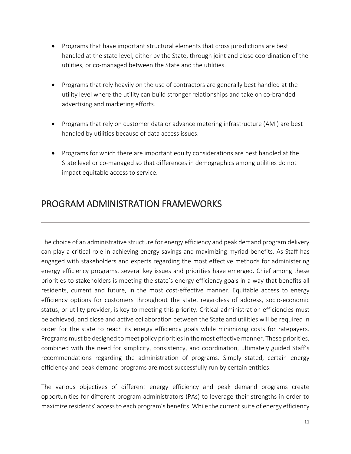- Programs that have important structural elements that cross jurisdictions are best handled at the state level, either by the State, through joint and close coordination of the utilities, or co-managed between the State and the utilities.
- Programs that rely heavily on the use of contractors are generally best handled at the utility level where the utility can build stronger relationships and take on co-branded advertising and marketing efforts.
- Programs that rely on customer data or advance metering infrastructure (AMI) are best handled by utilities because of data access issues.
- Programs for which there are important equity considerations are best handled at the State level or co-managed so that differences in demographics among utilities do not impact equitable access to service.

## <span id="page-10-0"></span>PROGRAM ADMINISTRATION FRAMEWORKS

The choice of an administrative structure for energy efficiency and peak demand program delivery can play a critical role in achieving energy savings and maximizing myriad benefits. As Staff has engaged with stakeholders and experts regarding the most effective methods for administering energy efficiency programs, several key issues and priorities have emerged. Chief among these priorities to stakeholders is meeting the state's energy efficiency goals in a way that benefits all residents, current and future, in the most cost-effective manner. Equitable access to energy efficiency options for customers throughout the state, regardless of address, socio-economic status, or utility provider, is key to meeting this priority. Critical administration efficiencies must be achieved, and close and active collaboration between the State and utilities will be required in order for the state to reach its energy efficiency goals while minimizing costs for ratepayers. Programs must be designed to meet policy priorities in the most effective manner. These priorities, combined with the need for simplicity, consistency, and coordination, ultimately guided Staff's recommendations regarding the administration of programs. Simply stated, certain energy efficiency and peak demand programs are most successfully run by certain entities.

The various objectives of different energy efficiency and peak demand programs create opportunities for different program administrators (PAs) to leverage their strengths in order to maximize residents' access to each program's benefits. While the current suite of energy efficiency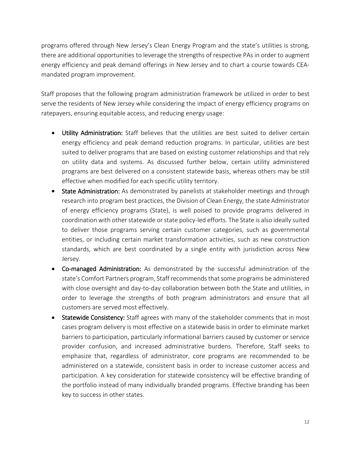programs offered through New Jersey's Clean Energy Program and the state's utilities is strong, there are additional opportunities to leverage the strengths of respective PAs in order to augment energy efficiency and peak demand offerings in New Jersey and to chart a course towards CEAmandated program improvement.

Staff proposes that the following program administration framework be utilized in order to best serve the residents of New Jersey while considering the impact of energy efficiency programs on ratepayers, ensuring equitable access, and reducing energy usage:

- Utility Administration: Staff believes that the utilities are best suited to deliver certain energy efficiency and peak demand reduction programs. In particular, utilities are best suited to deliver programs that are based on existing customer relationships and that rely on utility data and systems. As discussed further below, certain utility administered programs are best delivered on a consistent statewide basis, whereas others may be still effective when modified for each specific utility territory.
- State Administration: As demonstrated by panelists at stakeholder meetings and through research into program best practices, the Division of Clean Energy, the state Administrator of energy efficiency programs (State), is well poised to provide programs delivered in coordination with other statewide or state policy-led efforts. The State is also ideally suited to deliver those programs serving certain customer categories, such as governmental entities, or including certain market transformation activities, such as new construction standards, which are best coordinated by a single entity with jurisdiction across New Jersey.
- Co-managed Administration: As demonstrated by the successful administration of the state's Comfort Partners program, Staff recommends that some programs be administered with close oversight and day-to-day collaboration between both the State and utilities, in order to leverage the strengths of both program administrators and ensure that all customers are served most effectively.
- Statewide Consistency: Staff agrees with many of the stakeholder comments that in most cases program delivery is most effective on a statewide basis in order to eliminate market barriers to participation, particularly informational barriers caused by customer or service provider confusion, and increased administrative burdens. Therefore, Staff seeks to emphasize that, regardless of administrator, core programs are recommended to be administered on a statewide, consistent basis in order to increase customer access and participation. A key consideration for statewide consistency will be effective branding of the portfolio instead of many individually branded programs. Effective branding has been key to success in other states.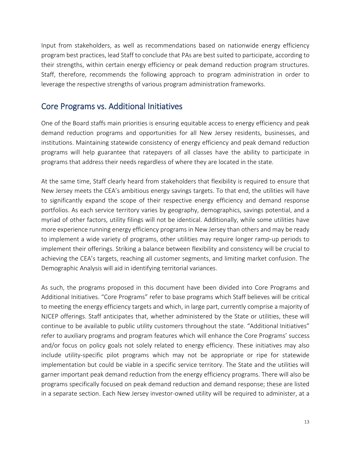Input from stakeholders, as well as recommendations based on nationwide energy efficiency program best practices, lead Staff to conclude that PAs are best suited to participate, according to their strengths, within certain energy efficiency or peak demand reduction program structures. Staff, therefore, recommends the following approach to program administration in order to leverage the respective strengths of various program administration frameworks.

### <span id="page-12-0"></span>Core Programs vs. Additional Initiatives

One of the Board staffs main priorities is ensuring equitable access to energy efficiency and peak demand reduction programs and opportunities for all New Jersey residents, businesses, and institutions. Maintaining statewide consistency of energy efficiency and peak demand reduction programs will help guarantee that ratepayers of all classes have the ability to participate in programs that address their needs regardless of where they are located in the state.

At the same time, Staff clearly heard from stakeholders that flexibility is required to ensure that New Jersey meets the CEA's ambitious energy savings targets. To that end, the utilities will have to significantly expand the scope of their respective energy efficiency and demand response portfolios. As each service territory varies by geography, demographics, savings potential, and a myriad of other factors, utility filings will not be identical. Additionally, while some utilities have more experience running energy efficiency programs in New Jersey than others and may be ready to implement a wide variety of programs, other utilities may require longer ramp-up periods to implement their offerings. Striking a balance between flexibility and consistency will be crucial to achieving the CEA's targets, reaching all customer segments, and limiting market confusion. The Demographic Analysis will aid in identifying territorial variances.

As such, the programs proposed in this document have been divided into Core Programs and Additional Initiatives. "Core Programs" refer to base programs which Staff believes will be critical to meeting the energy efficiency targets and which, in large part, currently comprise a majority of NJCEP offerings. Staff anticipates that, whether administered by the State or utilities, these will continue to be available to public utility customers throughout the state. "Additional Initiatives" refer to auxiliary programs and program features which will enhance the Core Programs' success and/or focus on policy goals not solely related to energy efficiency. These initiatives may also include utility-specific pilot programs which may not be appropriate or ripe for statewide implementation but could be viable in a specific service territory. The State and the utilities will garner important peak demand reduction from the energy efficiency programs. There will also be programs specifically focused on peak demand reduction and demand response; these are listed in a separate section. Each New Jersey investor-owned utility will be required to administer, at a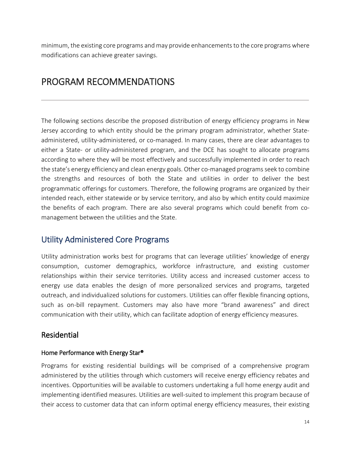minimum, the existing core programs and may provide enhancements to the core programs where modifications can achieve greater savings.

## <span id="page-13-0"></span>PROGRAM RECOMMENDATIONS

The following sections describe the proposed distribution of energy efficiency programs in New Jersey according to which entity should be the primary program administrator, whether Stateadministered, utility-administered, or co-managed. In many cases, there are clear advantages to either a State- or utility-administered program, and the DCE has sought to allocate programs according to where they will be most effectively and successfully implemented in order to reach the state's energy efficiency and clean energy goals. Other co-managed programs seek to combine the strengths and resources of both the State and utilities in order to deliver the best programmatic offerings for customers. Therefore, the following programs are organized by their intended reach, either statewide or by service territory, and also by which entity could maximize the benefits of each program. There are also several programs which could benefit from comanagement between the utilities and the State.

## <span id="page-13-1"></span>Utility Administered Core Programs

Utility administration works best for programs that can leverage utilities' knowledge of energy consumption, customer demographics, workforce infrastructure, and existing customer relationships within their service territories. Utility access and increased customer access to energy use data enables the design of more personalized services and programs, targeted outreach, and individualized solutions for customers. Utilities can offer flexible financing options, such as on-bill repayment. Customers may also have more "brand awareness" and direct communication with their utility, which can facilitate adoption of energy efficiency measures.

### <span id="page-13-2"></span>Residential

#### <span id="page-13-3"></span>Home Performance with Energy Star®

Programs for existing residential buildings will be comprised of a comprehensive program administered by the utilities through which customers will receive energy efficiency rebates and incentives. Opportunities will be available to customers undertaking a full home energy audit and implementing identified measures. Utilities are well-suited to implement this program because of their access to customer data that can inform optimal energy efficiency measures, their existing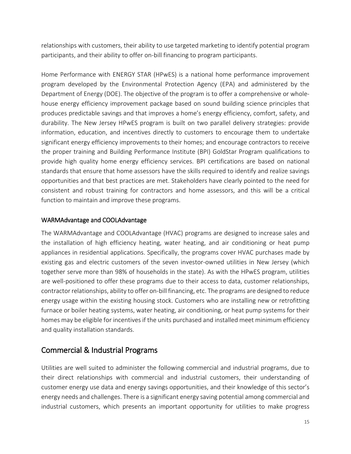relationships with customers, their ability to use targeted marketing to identify potential program participants, and their ability to offer on-bill financing to program participants.

Home Performance with ENERGY STAR (HPwES) is a national home performance improvement program developed by the Environmental Protection Agency (EPA) and administered by the Department of Energy (DOE). The objective of the program is to offer a comprehensive or wholehouse energy efficiency improvement package based on sound building science principles that produces predictable savings and that improves a home's energy efficiency, comfort, safety, and durability. The New Jersey HPwES program is built on two parallel delivery strategies: provide information, education, and incentives directly to customers to encourage them to undertake significant energy efficiency improvements to their homes; and encourage contractors to receive the proper training and Building Performance Institute (BPI) GoldStar Program qualifications to provide high quality home energy efficiency services. BPI certifications are based on national standards that ensure that home assessors have the skills required to identify and realize savings opportunities and that best practices are met. Stakeholders have clearly pointed to the need for consistent and robust training for contractors and home assessors, and this will be a critical function to maintain and improve these programs.

#### <span id="page-14-0"></span>WARMAdvantage and COOLAdvantage

The WARMAdvantage and COOLAdvantage (HVAC) programs are designed to increase sales and the installation of high efficiency heating, water heating, and air conditioning or heat pump appliances in residential applications. Specifically, the programs cover HVAC purchases made by existing gas and electric customers of the seven investor-owned utilities in New Jersey (which together serve more than 98% of households in the state). As with the HPwES program, utilities are well-positioned to offer these programs due to their access to data, customer relationships, contractor relationships, ability to offer on-bill financing, etc. The programs are designed to reduce energy usage within the existing housing stock. Customers who are installing new or retrofitting furnace or boiler heating systems, water heating, air conditioning, or heat pump systems for their homes may be eligible for incentives if the units purchased and installed meet minimum efficiency and quality installation standards.

#### <span id="page-14-1"></span>Commercial & Industrial Programs

Utilities are well suited to administer the following commercial and industrial programs, due to their direct relationships with commercial and industrial customers, their understanding of customer energy use data and energy savings opportunities, and their knowledge of this sector's energy needs and challenges. There is a significant energy saving potential among commercial and industrial customers, which presents an important opportunity for utilities to make progress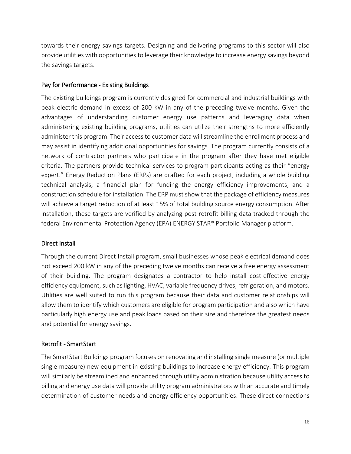towards their energy savings targets. Designing and delivering programs to this sector will also provide utilities with opportunities to leverage their knowledge to increase energy savings beyond the savings targets.

#### <span id="page-15-0"></span>Pay for Performance - Existing Buildings

The existing buildings program is currently designed for commercial and industrial buildings with peak electric demand in excess of 200 kW in any of the preceding twelve months. Given the advantages of understanding customer energy use patterns and leveraging data when administering existing building programs, utilities can utilize their strengths to more efficiently administer this program. Their access to customer data will streamline the enrollment process and may assist in identifying additional opportunities for savings. The program currently consists of a network of contractor partners who participate in the program after they have met eligible criteria. The partners provide technical services to program participants acting as their "energy expert." Energy Reduction Plans (ERPs) are drafted for each project, including a whole building technical analysis, a financial plan for funding the energy efficiency improvements, and a construction schedule for installation. The ERP must show that the package of efficiency measures will achieve a target reduction of at least 15% of total building source energy consumption. After installation, these targets are verified by analyzing post-retrofit billing data tracked through the federal Environmental Protection Agency (EPA) ENERGY STAR® Portfolio Manager platform.

#### <span id="page-15-1"></span>Direct Install

Through the current Direct Install program, small businesses whose peak electrical demand does not exceed 200 kW in any of the preceding twelve months can receive a free energy assessment of their building. The program designates a contractor to help install cost-effective energy efficiency equipment, such as lighting, HVAC, variable frequency drives, refrigeration, and motors. Utilities are well suited to run this program because their data and customer relationships will allow them to identify which customers are eligible for program participation and also which have particularly high energy use and peak loads based on their size and therefore the greatest needs and potential for energy savings.

#### <span id="page-15-2"></span>Retrofit - SmartStart

The SmartStart Buildings program focuses on renovating and installing single measure (or multiple single measure) new equipment in existing buildings to increase energy efficiency. This program will similarly be streamlined and enhanced through utility administration because utility access to billing and energy use data will provide utility program administrators with an accurate and timely determination of customer needs and energy efficiency opportunities. These direct connections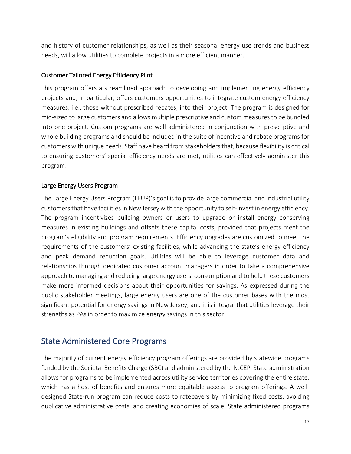and history of customer relationships, as well as their seasonal energy use trends and business needs, will allow utilities to complete projects in a more efficient manner.

#### <span id="page-16-0"></span>Customer Tailored Energy Efficiency Pilot

This program offers a streamlined approach to developing and implementing energy efficiency projects and, in particular, offers customers opportunities to integrate custom energy efficiency measures, i.e., those without prescribed rebates, into their project. The program is designed for mid-sized to large customers and allows multiple prescriptive and custom measures to be bundled into one project. Custom programs are well administered in conjunction with prescriptive and whole building programs and should be included in the suite of incentive and rebate programs for customers with unique needs. Staff have heard from stakeholders that, because flexibility is critical to ensuring customers' special efficiency needs are met, utilities can effectively administer this program.

#### <span id="page-16-1"></span>Large Energy Users Program

The Large Energy Users Program (LEUP)'s goal is to provide large commercial and industrial utility customers that have facilities in New Jersey with the opportunity to self-invest in energy efficiency. The program incentivizes building owners or users to upgrade or install energy conserving measures in existing buildings and offsets these capital costs, provided that projects meet the program's eligibility and program requirements. Efficiency upgrades are customized to meet the requirements of the customers' existing facilities, while advancing the state's energy efficiency and peak demand reduction goals. Utilities will be able to leverage customer data and relationships through dedicated customer account managers in order to take a comprehensive approach to managing and reducing large energy users' consumption and to help these customers make more informed decisions about their opportunities for savings. As expressed during the public stakeholder meetings, large energy users are one of the customer bases with the most significant potential for energy savings in New Jersey, and it is integral that utilities leverage their strengths as PAs in order to maximize energy savings in this sector.

### <span id="page-16-2"></span>State Administered Core Programs

The majority of current energy efficiency program offerings are provided by statewide programs funded by the Societal Benefits Charge (SBC) and administered by the NJCEP. State administration allows for programs to be implemented across utility service territories covering the entire state, which has a host of benefits and ensures more equitable access to program offerings. A welldesigned State-run program can reduce costs to ratepayers by minimizing fixed costs, avoiding duplicative administrative costs, and creating economies of scale. State administered programs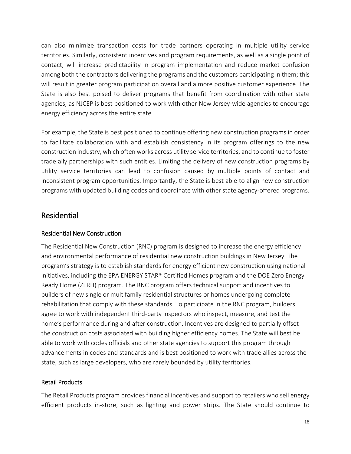can also minimize transaction costs for trade partners operating in multiple utility service territories. Similarly, consistent incentives and program requirements, as well as a single point of contact, will increase predictability in program implementation and reduce market confusion among both the contractors delivering the programs and the customers participating in them; this will result in greater program participation overall and a more positive customer experience. The State is also best poised to deliver programs that benefit from coordination with other state agencies, as NJCEP is best positioned to work with other New Jersey-wide agencies to encourage energy efficiency across the entire state.

For example, the State is best positioned to continue offering new construction programs in order to facilitate collaboration with and establish consistency in its program offerings to the new construction industry, which often works across utility service territories, and to continue to foster trade ally partnerships with such entities. Limiting the delivery of new construction programs by utility service territories can lead to confusion caused by multiple points of contact and inconsistent program opportunities. Importantly, the State is best able to align new construction programs with updated building codes and coordinate with other state agency-offered programs.

### <span id="page-17-0"></span>Residential

#### <span id="page-17-1"></span>Residential New Construction

The Residential New Construction (RNC) program is designed to increase the energy efficiency and environmental performance of residential new construction buildings in New Jersey. The program's strategy is to establish standards for energy efficient new construction using national initiatives, including the EPA ENERGY STAR® Certified Homes program and the DOE Zero Energy Ready Home (ZERH) program. The RNC program offers technical support and incentives to builders of new single or multifamily residential structures or homes undergoing complete rehabilitation that comply with these standards. To participate in the RNC program, builders agree to work with independent third-party inspectors who inspect, measure, and test the home's performance during and after construction. Incentives are designed to partially offset the construction costs associated with building higher efficiency homes. The State will best be able to work with codes officials and other state agencies to support this program through advancements in codes and standards and is best positioned to work with trade allies across the state, such as large developers, who are rarely bounded by utility territories.

#### <span id="page-17-2"></span>Retail Products

The Retail Products program provides financial incentives and support to retailers who sell energy efficient products in-store, such as lighting and power strips. The State should continue to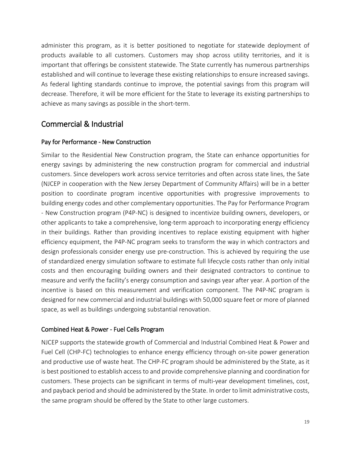administer this program, as it is better positioned to negotiate for statewide deployment of products available to all customers. Customers may shop across utility territories, and it is important that offerings be consistent statewide. The State currently has numerous partnerships established and will continue to leverage these existing relationships to ensure increased savings. As federal lighting standards continue to improve, the potential savings from this program will decrease. Therefore, it will be more efficient for the State to leverage its existing partnerships to achieve as many savings as possible in the short-term.

## <span id="page-18-0"></span>Commercial & Industrial

#### <span id="page-18-1"></span>Pay for Performance - New Construction

Similar to the Residential New Construction program, the State can enhance opportunities for energy savings by administering the new construction program for commercial and industrial customers. Since developers work across service territories and often across state lines, the Sate (NJCEP in cooperation with the New Jersey Department of Community Affairs) will be in a better position to coordinate program incentive opportunities with progressive improvements to building energy codes and other complementary opportunities. The Pay for Performance Program - New Construction program (P4P-NC) is designed to incentivize building owners, developers, or other applicants to take a comprehensive, long-term approach to incorporating energy efficiency in their buildings. Rather than providing incentives to replace existing equipment with higher efficiency equipment, the P4P-NC program seeks to transform the way in which contractors and design professionals consider energy use pre-construction. This is achieved by requiring the use of standardized energy simulation software to estimate full lifecycle costs rather than only initial costs and then encouraging building owners and their designated contractors to continue to measure and verify the facility's energy consumption and savings year after year. A portion of the incentive is based on this measurement and verification component. The P4P-NC program is designed for new commercial and industrial buildings with 50,000 square feet or more of planned space, as well as buildings undergoing substantial renovation.

#### <span id="page-18-2"></span>Combined Heat & Power - Fuel Cells Program

NJCEP supports the statewide growth of Commercial and Industrial Combined Heat & Power and Fuel Cell (CHP-FC) technologies to enhance energy efficiency through on-site power generation and productive use of waste heat. The CHP-FC program should be administered by the State, as it is best positioned to establish access to and provide comprehensive planning and coordination for customers. These projects can be significant in terms of multi-year development timelines, cost, and payback period and should be administered by the State. In order to limit administrative costs, the same program should be offered by the State to other large customers.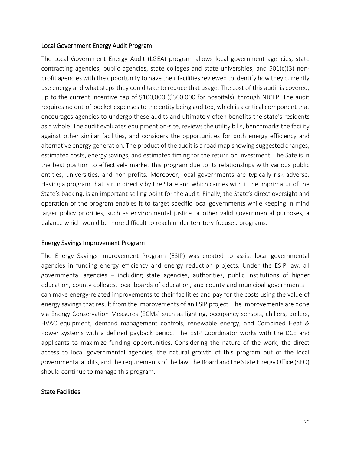#### <span id="page-19-0"></span>Local Government Energy Audit Program

The Local Government Energy Audit (LGEA) program allows local government agencies, state contracting agencies, public agencies, state colleges and state universities, and 501(c)(3) nonprofit agencies with the opportunity to have their facilities reviewed to identify how they currently use energy and what steps they could take to reduce that usage. The cost of this audit is covered, up to the current incentive cap of \$100,000 (\$300,000 for hospitals), through NJCEP. The audit requires no out-of-pocket expenses to the entity being audited, which is a critical component that encourages agencies to undergo these audits and ultimately often benefits the state's residents as a whole. The audit evaluates equipment on-site, reviews the utility bills, benchmarks the facility against other similar facilities, and considers the opportunities for both energy efficiency and alternative energy generation. The product of the audit is a road map showing suggested changes, estimated costs, energy savings, and estimated timing for the return on investment. The Sate is in the best position to effectively market this program due to its relationships with various public entities, universities, and non-profits. Moreover, local governments are typically risk adverse. Having a program that is run directly by the State and which carries with it the imprimatur of the State's backing, is an important selling point for the audit. Finally, the State's direct oversight and operation of the program enables it to target specific local governments while keeping in mind larger policy priorities, such as environmental justice or other valid governmental purposes, a balance which would be more difficult to reach under territory-focused programs.

#### <span id="page-19-1"></span>Energy Savings Improvement Program

The Energy Savings Improvement Program (ESIP) was created to assist local governmental agencies in funding energy efficiency and energy reduction projects. Under the ESIP law, all governmental agencies – including state agencies, authorities, public institutions of higher education, county colleges, local boards of education, and county and municipal governments – can make energy-related improvements to their facilities and pay for the costs using the value of energy savings that result from the improvements of an ESIP project. The improvements are done via Energy Conservation Measures (ECMs) such as lighting, occupancy sensors, chillers, boilers, HVAC equipment, demand management controls, renewable energy, and Combined Heat & Power systems with a defined payback period. The ESIP Coordinator works with the DCE and applicants to maximize funding opportunities. Considering the nature of the work, the direct access to local governmental agencies, the natural growth of this program out of the local governmental audits, and the requirements of the law, the Board and the State Energy Office (SEO) should continue to manage this program.

#### <span id="page-19-2"></span>State Facilities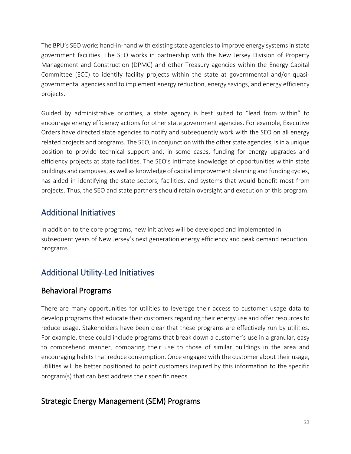The BPU's SEO works hand-in-hand with existing state agencies to improve energy systems in state government facilities. The SEO works in partnership with the New Jersey Division of Property Management and Construction (DPMC) and other Treasury agencies within the Energy Capital Committee (ECC) to identify facility projects within the state at governmental and/or quasigovernmental agencies and to implement energy reduction, energy savings, and energy efficiency projects.

Guided by administrative priorities, a state agency is best suited to "lead from within" to encourage energy efficiency actions for other state government agencies. For example, Executive Orders have directed state agencies to notify and subsequently work with the SEO on all energy related projects and programs. The SEO, in conjunction with the other state agencies, is in a unique position to provide technical support and, in some cases, funding for energy upgrades and efficiency projects at state facilities. The SEO's intimate knowledge of opportunities within state buildings and campuses, as well as knowledge of capital improvement planning and funding cycles, has aided in identifying the state sectors, facilities, and systems that would benefit most from projects. Thus, the SEO and state partners should retain oversight and execution of this program.

## <span id="page-20-0"></span>Additional Initiatives

In addition to the core programs, new initiatives will be developed and implemented in subsequent years of New Jersey's next generation energy efficiency and peak demand reduction programs.

## <span id="page-20-1"></span>Additional Utility-Led Initiatives

## <span id="page-20-2"></span>Behavioral Programs

There are many opportunities for utilities to leverage their access to customer usage data to develop programs that educate their customers regarding their energy use and offer resources to reduce usage. Stakeholders have been clear that these programs are effectively run by utilities. For example, these could include programs that break down a customer's use in a granular, easy to comprehend manner, comparing their use to those of similar buildings in the area and encouraging habits that reduce consumption. Once engaged with the customer about their usage, utilities will be better positioned to point customers inspired by this information to the specific program(s) that can best address their specific needs.

## <span id="page-20-3"></span>Strategic Energy Management (SEM) Programs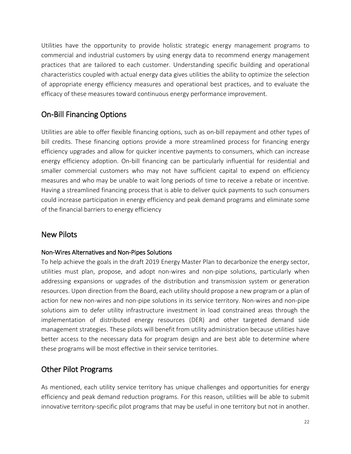Utilities have the opportunity to provide holistic strategic energy management programs to commercial and industrial customers by using energy data to recommend energy management practices that are tailored to each customer. Understanding specific building and operational characteristics coupled with actual energy data gives utilities the ability to optimize the selection of appropriate energy efficiency measures and operational best practices, and to evaluate the efficacy of these measures toward continuous energy performance improvement.

## <span id="page-21-0"></span>On-Bill Financing Options

Utilities are able to offer flexible financing options, such as on-bill repayment and other types of bill credits. These financing options provide a more streamlined process for financing energy efficiency upgrades and allow for quicker incentive payments to consumers, which can increase energy efficiency adoption. On-bill financing can be particularly influential for residential and smaller commercial customers who may not have sufficient capital to expend on efficiency measures and who may be unable to wait long periods of time to receive a rebate or incentive. Having a streamlined financing process that is able to deliver quick payments to such consumers could increase participation in energy efficiency and peak demand programs and eliminate some of the financial barriers to energy efficiency

### <span id="page-21-1"></span>New Pilots

#### Non-Wires Alternatives and Non-Pipes Solutions

To help achieve the goals in the draft 2019 Energy Master Plan to decarbonize the energy sector, utilities must plan, propose, and adopt non-wires and non-pipe solutions, particularly when addressing expansions or upgrades of the distribution and transmission system or generation resources. Upon direction from the Board, each utility should propose a new program or a plan of action for new non-wires and non-pipe solutions in its service territory. Non-wires and non-pipe solutions aim to defer utility infrastructure investment in load constrained areas through the implementation of distributed energy resources (DER) and other targeted demand side management strategies. These pilots will benefit from utility administration because utilities have better access to the necessary data for program design and are best able to determine where these programs will be most effective in their service territories.

## <span id="page-21-2"></span>Other Pilot Programs

As mentioned, each utility service territory has unique challenges and opportunities for energy efficiency and peak demand reduction programs. For this reason, utilities will be able to submit innovative territory-specific pilot programs that may be useful in one territory but not in another.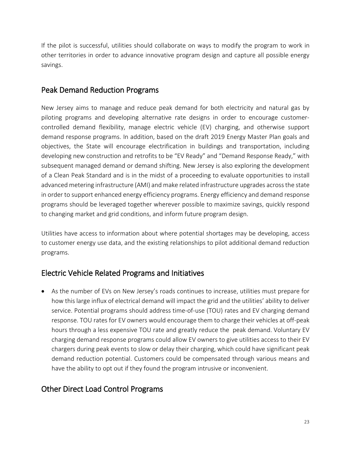If the pilot is successful, utilities should collaborate on ways to modify the program to work in other territories in order to advance innovative program design and capture all possible energy savings.

### <span id="page-22-0"></span>Peak Demand Reduction Programs

New Jersey aims to manage and reduce peak demand for both electricity and natural gas by piloting programs and developing alternative rate designs in order to encourage customercontrolled demand flexibility, manage electric vehicle (EV) charging, and otherwise support demand response programs. In addition, based on the draft 2019 Energy Master Plan goals and objectives, the State will encourage electrification in buildings and transportation, including developing new construction and retrofits to be "EV Ready" and "Demand Response Ready," with subsequent managed demand or demand shifting. New Jersey is also exploring the development of a Clean Peak Standard and is in the midst of a proceeding to evaluate opportunities to install advanced metering infrastructure (AMI) and make related infrastructure upgrades across the state in order to support enhanced energy efficiency programs. Energy efficiency and demand response programs should be leveraged together wherever possible to maximize savings, quickly respond to changing market and grid conditions, and inform future program design.

Utilities have access to information about where potential shortages may be developing, access to customer energy use data, and the existing relationships to pilot additional demand reduction programs.

## <span id="page-22-1"></span>Electric Vehicle Related Programs and Initiatives

• As the number of EVs on New Jersey's roads continues to increase, utilities must prepare for how this large influx of electrical demand will impact the grid and the utilities' ability to deliver service. Potential programs should address time-of-use (TOU) rates and EV charging demand response. TOU rates for EV owners would encourage them to charge their vehicles at off-peak hours through a less expensive TOU rate and greatly reduce the peak demand. Voluntary EV charging demand response programs could allow EV owners to give utilities access to their EV chargers during peak events to slow or delay their charging, which could have significant peak demand reduction potential. Customers could be compensated through various means and have the ability to opt out if they found the program intrusive or inconvenient.

## <span id="page-22-2"></span>Other Direct Load Control Programs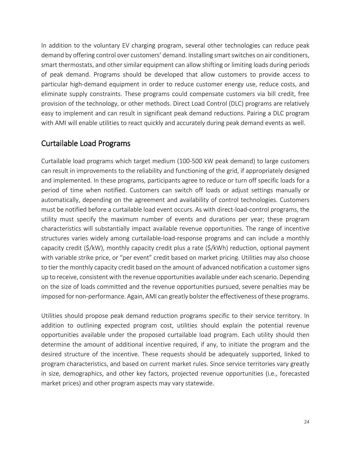In addition to the voluntary EV charging program, several other technologies can reduce peak demand by offering control over customers' demand. Installing smart switches on air conditioners, smart thermostats, and other similar equipment can allow shifting or limiting loads during periods of peak demand. Programs should be developed that allow customers to provide access to particular high-demand equipment in order to reduce customer energy use, reduce costs, and eliminate supply constraints. These programs could compensate customers via bill credit, free provision of the technology, or other methods. Direct Load Control (DLC) programs are relatively easy to implement and can result in significant peak demand reductions. Pairing a DLC program with AMI will enable utilities to react quickly and accurately during peak demand events as well.

#### <span id="page-23-0"></span>Curtailable Load Programs

Curtailable load programs which target medium (100-500 kW peak demand) to large customers can result in improvements to the reliability and functioning of the grid, if appropriately designed and implemented. In these programs, participants agree to reduce or turn off specific loads for a period of time when notified. Customers can switch off loads or adjust settings manually or automatically, depending on the agreement and availability of control technologies. Customers must be notified before a curtailable load event occurs. As with direct-load-control programs, the utility must specify the maximum number of events and durations per year; these program characteristics will substantially impact available revenue opportunities. The range of incentive structures varies widely among curtailable-load-response programs and can include a monthly capacity credit (\$/kW), monthly capacity credit plus a rate (\$/kWh) reduction, optional payment with variable strike price, or "per event" credit based on market pricing. Utilities may also choose to tier the monthly capacity credit based on the amount of advanced notification a customer signs up to receive, consistent with the revenue opportunities available under each scenario. Depending on the size of loads committed and the revenue opportunities pursued, severe penalties may be imposed for non-performance. Again, AMI can greatly bolster the effectiveness of these programs.

Utilities should propose peak demand reduction programs specific to their service territory. In addition to outlining expected program cost, utilities should explain the potential revenue opportunities available under the proposed curtailable load program. Each utility should then determine the amount of additional incentive required, if any, to initiate the program and the desired structure of the incentive. These requests should be adequately supported, linked to program characteristics, and based on current market rules. Since service territories vary greatly in size, demographics, and other key factors, projected revenue opportunities (i.e., forecasted market prices) and other program aspects may vary statewide.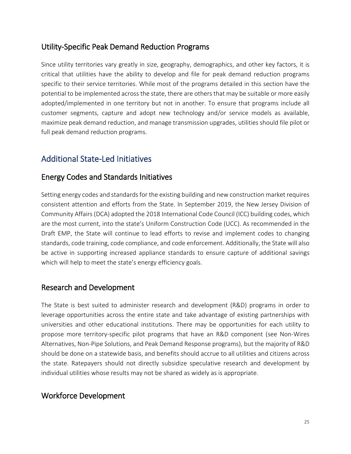### <span id="page-24-0"></span>Utility-Specific Peak Demand Reduction Programs

Since utility territories vary greatly in size, geography, demographics, and other key factors, it is critical that utilities have the ability to develop and file for peak demand reduction programs specific to their service territories. While most of the programs detailed in this section have the potential to be implemented across the state, there are others that may be suitable or more easily adopted/implemented in one territory but not in another. To ensure that programs include all customer segments, capture and adopt new technology and/or service models as available, maximize peak demand reduction, and manage transmission upgrades, utilities should file pilot or full peak demand reduction programs.

## <span id="page-24-1"></span>Additional State-Led Initiatives

### <span id="page-24-2"></span>Energy Codes and Standards Initiatives

Setting energy codes and standards for the existing building and new construction market requires consistent attention and efforts from the State. In September 2019, the New Jersey Division of Community Affairs (DCA) adopted the 2018 International Code Council (ICC) building codes, which are the most current, into the state's Uniform Construction Code (UCC). As recommended in the Draft EMP, the State will continue to lead efforts to revise and implement codes to changing standards, code training, code compliance, and code enforcement. Additionally, the State will also be active in supporting increased appliance standards to ensure capture of additional savings which will help to meet the state's energy efficiency goals.

### <span id="page-24-3"></span>Research and Development

The State is best suited to administer research and development (R&D) programs in order to leverage opportunities across the entire state and take advantage of existing partnerships with universities and other educational institutions. There may be opportunities for each utility to propose more territory-specific pilot programs that have an R&D component (see Non-Wires Alternatives, Non-Pipe Solutions, and Peak Demand Response programs), but the majority of R&D should be done on a statewide basis, and benefits should accrue to all utilities and citizens across the state. Ratepayers should not directly subsidize speculative research and development by individual utilities whose results may not be shared as widely as is appropriate.

### <span id="page-24-4"></span>Workforce Development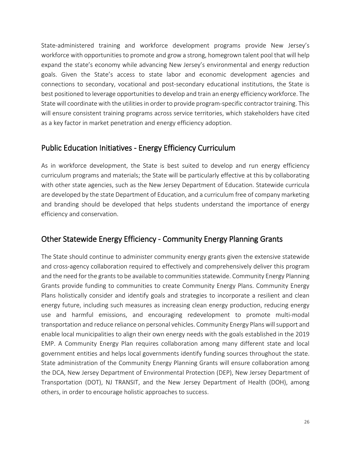State-administered training and workforce development programs provide New Jersey's workforce with opportunities to promote and grow a strong, homegrown talent pool that will help expand the state's economy while advancing New Jersey's environmental and energy reduction goals. Given the State's access to state labor and economic development agencies and connections to secondary, vocational and post-secondary educational institutions, the State is best positioned to leverage opportunities to develop and train an energy efficiency workforce. The State will coordinate with the utilities in order to provide program-specific contractor training. This will ensure consistent training programs across service territories, which stakeholders have cited as a key factor in market penetration and energy efficiency adoption.

### <span id="page-25-0"></span>Public Education Initiatives - Energy Efficiency Curriculum

As in workforce development, the State is best suited to develop and run energy efficiency curriculum programs and materials; the State will be particularly effective at this by collaborating with other state agencies, such as the New Jersey Department of Education. Statewide curricula are developed by the state Department of Education, and a curriculum free of company marketing and branding should be developed that helps students understand the importance of energy efficiency and conservation.

## <span id="page-25-1"></span>Other Statewide Energy Efficiency - Community Energy Planning Grants

The State should continue to administer community energy grants given the extensive statewide and cross-agency collaboration required to effectively and comprehensively deliver this program and the need for the grants to be available to communities statewide. Community Energy Planning Grants provide funding to communities to create Community Energy Plans. Community Energy Plans holistically consider and identify goals and strategies to incorporate a resilient and clean energy future, including such measures as increasing clean energy production, reducing energy use and harmful emissions, and encouraging redevelopment to promote multi-modal transportation and reduce reliance on personal vehicles. Community Energy Plans will support and enable local municipalities to align their own energy needs with the goals established in the 2019 EMP. A Community Energy Plan requires collaboration among many different state and local government entities and helps local governments identify funding sources throughout the state. State administration of the Community Energy Planning Grants will ensure collaboration among the DCA, New Jersey Department of Environmental Protection (DEP), New Jersey Department of Transportation (DOT), NJ TRANSIT, and the New Jersey Department of Health (DOH), among others, in order to encourage holistic approaches to success.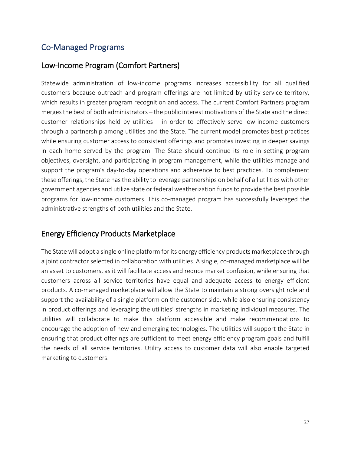## <span id="page-26-0"></span>Co-Managed Programs

#### <span id="page-26-1"></span>Low-Income Program (Comfort Partners)

Statewide administration of low-income programs increases accessibility for all qualified customers because outreach and program offerings are not limited by utility service territory, which results in greater program recognition and access. The current Comfort Partners program merges the best of both administrators – the public interest motivations of the State and the direct customer relationships held by utilities – in order to effectively serve low-income customers through a partnership among utilities and the State. The current model promotes best practices while ensuring customer access to consistent offerings and promotes investing in deeper savings in each home served by the program. The State should continue its role in setting program objectives, oversight, and participating in program management, while the utilities manage and support the program's day-to-day operations and adherence to best practices. To complement these offerings, the State has the ability to leverage partnerships on behalf of all utilities with other government agencies and utilize state or federal weatherization funds to provide the best possible programs for low-income customers. This co-managed program has successfully leveraged the administrative strengths of both utilities and the State.

### <span id="page-26-2"></span>Energy Efficiency Products Marketplace

<span id="page-26-3"></span>The State will adopt a single online platform for its energy efficiency products marketplace through a joint contractor selected in collaboration with utilities. A single, co-managed marketplace will be an asset to customers, as it will facilitate access and reduce market confusion, while ensuring that customers across all service territories have equal and adequate access to energy efficient products. A co-managed marketplace will allow the State to maintain a strong oversight role and support the availability of a single platform on the customer side, while also ensuring consistency in product offerings and leveraging the utilities' strengths in marketing individual measures. The utilities will collaborate to make this platform accessible and make recommendations to encourage the adoption of new and emerging technologies. The utilities will support the State in ensuring that product offerings are sufficient to meet energy efficiency program goals and fulfill the needs of all service territories. Utility access to customer data will also enable targeted marketing to customers.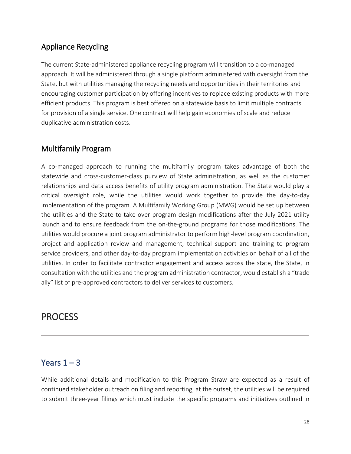## Appliance Recycling

The current State-administered appliance recycling program will transition to a co-managed approach. It will be administered through a single platform administered with oversight from the State, but with utilities managing the recycling needs and opportunities in their territories and encouraging customer participation by offering incentives to replace existing products with more efficient products. This program is best offered on a statewide basis to limit multiple contracts for provision of a single service. One contract will help gain economies of scale and reduce duplicative administration costs.

#### <span id="page-27-0"></span>Multifamily Program

A co-managed approach to running the multifamily program takes advantage of both the statewide and cross-customer-class purview of State administration, as well as the customer relationships and data access benefits of utility program administration. The State would play a critical oversight role, while the utilities would work together to provide the day-to-day implementation of the program. A Multifamily Working Group (MWG) would be set up between the utilities and the State to take over program design modifications after the July 2021 utility launch and to ensure feedback from the on-the-ground programs for those modifications. The utilities would procure a joint program administrator to perform high-level program coordination, project and application review and management, technical support and training to program service providers, and other day-to-day program implementation activities on behalf of all of the utilities. In order to facilitate contractor engagement and access across the state, the State, in consultation with the utilities and the program administration contractor, would establish a "trade ally" list of pre-approved contractors to deliver services to customers.

## <span id="page-27-1"></span>**PROCESS**

### <span id="page-27-2"></span>Years  $1 - 3$

While additional details and modification to this Program Straw are expected as a result of continued stakeholder outreach on filing and reporting, at the outset, the utilities will be required to submit three-year filings which must include the specific programs and initiatives outlined in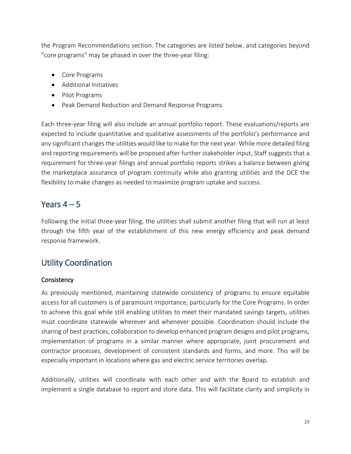the Program Recommendations section. The categories are listed below, and categories beyond "core programs" may be phased in over the three-year filing:

- Core Programs
- Additional Initiatives
- Pilot Programs
- Peak Demand Reduction and Demand Response Programs

Each three-year filing will also include an annual portfolio report. These evaluations/reports are expected to include quantitative and qualitative assessments of the portfolio's performance and any significant changes the utilities would like to make for the next year. While more detailed filing and reporting requirements will be proposed after further stakeholder input, Staff suggests that a requirement for three-year filings and annual portfolio reports strikes a balance between giving the marketplace assurance of program continuity while also granting utilities and the DCE the flexibility to make changes as needed to maximize program uptake and success.

## <span id="page-28-0"></span>Years  $4 - 5$

Following the initial three-year filing, the utilities shall submit another filing that will run at least through the fifth year of the establishment of this new energy efficiency and peak demand response framework.

## <span id="page-28-1"></span>Utility Coordination

#### **Consistency**

As previously mentioned, maintaining statewide consistency of programs to ensure equitable access for all customers is of paramount importance, particularly for the Core Programs. In order to achieve this goal while still enabling utilities to meet their mandated savings targets, utilities must coordinate statewide wherever and whenever possible. Coordination should include the sharing of best practices, collaboration to develop enhanced program designs and pilot programs, implementation of programs in a similar manner where appropriate, joint procurement and contractor processes, development of consistent standards and forms, and more. This will be especially important in locations where gas and electric service territories overlap.

Additionally, utilities will coordinate with each other and with the Board to establish and implement a single database to report and store data. This will facilitate clarity and simplicity in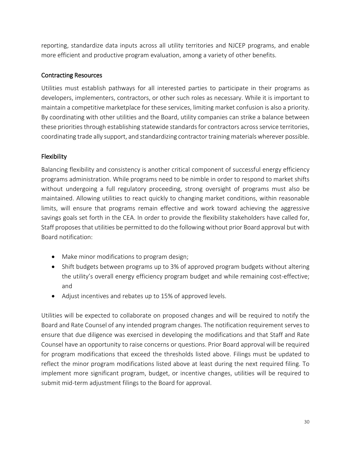reporting, standardize data inputs across all utility territories and NJCEP programs, and enable more efficient and productive program evaluation, among a variety of other benefits.

#### Contracting Resources

Utilities must establish pathways for all interested parties to participate in their programs as developers, implementers, contractors, or other such roles as necessary. While it is important to maintain a competitive marketplace for these services, limiting market confusion is also a priority. By coordinating with other utilities and the Board, utility companies can strike a balance between these priorities through establishing statewide standards for contractors across service territories, coordinating trade ally support, and standardizing contractor training materials wherever possible.

#### Flexibility

Balancing flexibility and consistency is another critical component of successful energy efficiency programs administration. While programs need to be nimble in order to respond to market shifts without undergoing a full regulatory proceeding, strong oversight of programs must also be maintained. Allowing utilities to react quickly to changing market conditions, within reasonable limits, will ensure that programs remain effective and work toward achieving the aggressive savings goals set forth in the CEA. In order to provide the flexibility stakeholders have called for, Staff proposes that utilities be permitted to do the following without prior Board approval but with Board notification:

- Make minor modifications to program design;
- Shift budgets between programs up to 3% of approved program budgets without altering the utility's overall energy efficiency program budget and while remaining cost-effective; and
- Adjust incentives and rebates up to 15% of approved levels.

Utilities will be expected to collaborate on proposed changes and will be required to notify the Board and Rate Counsel of any intended program changes. The notification requirement serves to ensure that due diligence was exercised in developing the modifications and that Staff and Rate Counsel have an opportunity to raise concerns or questions. Prior Board approval will be required for program modifications that exceed the thresholds listed above. Filings must be updated to reflect the minor program modifications listed above at least during the next required filing. To implement more significant program, budget, or incentive changes, utilities will be required to submit mid-term adjustment filings to the Board for approval.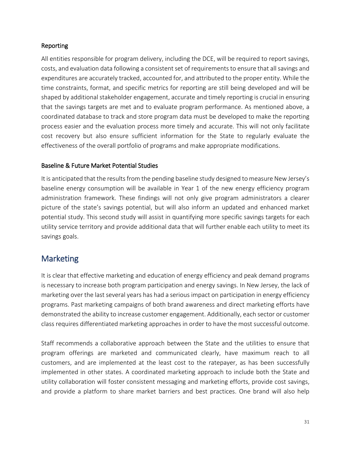#### Reporting

All entities responsible for program delivery, including the DCE, will be required to report savings, costs, and evaluation data following a consistent set of requirements to ensure that all savings and expenditures are accurately tracked, accounted for, and attributed to the proper entity. While the time constraints, format, and specific metrics for reporting are still being developed and will be shaped by additional stakeholder engagement, accurate and timely reporting is crucial in ensuring that the savings targets are met and to evaluate program performance. As mentioned above, a coordinated database to track and store program data must be developed to make the reporting process easier and the evaluation process more timely and accurate. This will not only facilitate cost recovery but also ensure sufficient information for the State to regularly evaluate the effectiveness of the overall portfolio of programs and make appropriate modifications.

#### Baseline & Future Market Potential Studies

It is anticipated that the results from the pending baseline study designed to measure New Jersey's baseline energy consumption will be available in Year 1 of the new energy efficiency program administration framework. These findings will not only give program administrators a clearer picture of the state's savings potential, but will also inform an updated and enhanced market potential study. This second study will assist in quantifying more specific savings targets for each utility service territory and provide additional data that will further enable each utility to meet its savings goals.

## <span id="page-30-0"></span>Marketing

It is clear that effective marketing and education of energy efficiency and peak demand programs is necessary to increase both program participation and energy savings. In New Jersey, the lack of marketing over the last several years has had a serious impact on participation in energy efficiency programs. Past marketing campaigns of both brand awareness and direct marketing efforts have demonstrated the ability to increase customer engagement. Additionally, each sector or customer class requires differentiated marketing approaches in order to have the most successful outcome.

Staff recommends a collaborative approach between the State and the utilities to ensure that program offerings are marketed and communicated clearly, have maximum reach to all customers, and are implemented at the least cost to the ratepayer, as has been successfully implemented in other states. A coordinated marketing approach to include both the State and utility collaboration will foster consistent messaging and marketing efforts, provide cost savings, and provide a platform to share market barriers and best practices. One brand will also help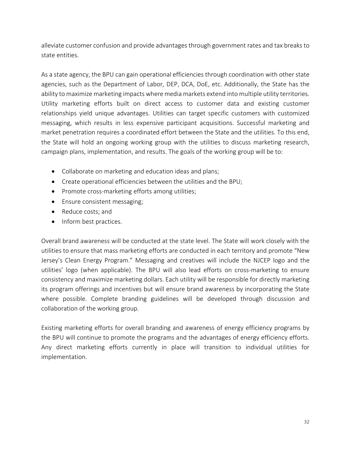alleviate customer confusion and provide advantages through government rates and tax breaks to state entities.

As a state agency, the BPU can gain operational efficiencies through coordination with other state agencies, such as the Department of Labor, DEP, DCA, DoE, etc. Additionally, the State has the ability to maximize marketing impacts where media markets extend into multiple utility territories. Utility marketing efforts built on direct access to customer data and existing customer relationships yield unique advantages. Utilities can target specific customers with customized messaging, which results in less expensive participant acquisitions. Successful marketing and market penetration requires a coordinated effort between the State and the utilities. To this end, the State will hold an ongoing working group with the utilities to discuss marketing research, campaign plans, implementation, and results. The goals of the working group will be to:

- Collaborate on marketing and education ideas and plans;
- Create operational efficiencies between the utilities and the BPU;
- Promote cross-marketing efforts among utilities;
- Ensure consistent messaging;
- Reduce costs; and
- Inform best practices.

Overall brand awareness will be conducted at the state level. The State will work closely with the utilities to ensure that mass marketing efforts are conducted in each territory and promote "New Jersey's Clean Energy Program." Messaging and creatives will include the NJCEP logo and the utilities' logo (when applicable). The BPU will also lead efforts on cross-marketing to ensure consistency and maximize marketing dollars. Each utility will be responsible for directly marketing its program offerings and incentives but will ensure brand awareness by incorporating the State where possible. Complete branding guidelines will be developed through discussion and collaboration of the working group.

<span id="page-31-0"></span>Existing marketing efforts for overall branding and awareness of energy efficiency programs by the BPU will continue to promote the programs and the advantages of energy efficiency efforts. Any direct marketing efforts currently in place will transition to individual utilities for implementation.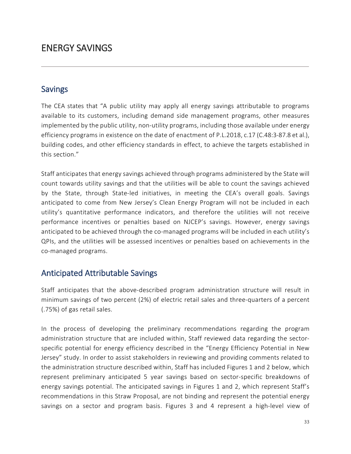## ENERGY SAVINGS

### <span id="page-32-0"></span>Savings

The CEA states that "A public utility may apply all energy savings attributable to programs available to its customers, including demand side management programs, other measures implemented by the public utility, non-utility programs, including those available under energy efficiency programs in existence on the date of enactment of P.L.2018, c.17 (C.48:3-87.8 et al.), building codes, and other efficiency standards in effect, to achieve the targets established in this section."

Staff anticipates that energy savings achieved through programs administered by the State will count towards utility savings and that the utilities will be able to count the savings achieved by the State, through State-led initiatives, in meeting the CEA's overall goals. Savings anticipated to come from New Jersey's Clean Energy Program will not be included in each utility's quantitative performance indicators, and therefore the utilities will not receive performance incentives or penalties based on NJCEP's savings. However, energy savings anticipated to be achieved through the co-managed programs will be included in each utility's QPIs, and the utilities will be assessed incentives or penalties based on achievements in the co-managed programs.

### <span id="page-32-1"></span>Anticipated Attributable Savings

Staff anticipates that the above-described program administration structure will result in minimum savings of two percent (2%) of electric retail sales and three-quarters of a percent (.75%) of gas retail sales.

In the process of developing the preliminary recommendations regarding the program administration structure that are included within, Staff reviewed data regarding the sectorspecific potential for energy efficiency described in the "Energy Efficiency Potential in New Jersey" study. In order to assist stakeholders in reviewing and providing comments related to the administration structure described within, Staff has included Figures 1 and 2 below, which represent preliminary anticipated 5 year savings based on sector-specific breakdowns of energy savings potential. The anticipated savings in Figures 1 and 2, which represent Staff's recommendations in this Straw Proposal, are not binding and represent the potential energy savings on a sector and program basis. Figures 3 and 4 represent a high-level view of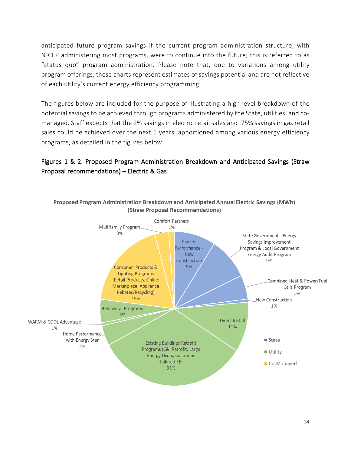anticipated future program savings if the current program administration structure, with NJCEP administering most programs, were to continue into the future; this is referred to as "status quo" program administration. Please note that, due to variations among utility program offerings, these charts represent estimates of savings potential and are not reflective of each utility's current energy efficiency programming.

The figures below are included for the purpose of illustrating a high-level breakdown of the potential savings to be achieved through programs administered by the State, utilities, and comanaged. Staff expects that the 2% savings in electric retail sales and .75% savings in gas retail sales could be achieved over the next 5 years, apportioned among various energy efficiency programs, as detailed in the figures below.

#### Figures 1 & 2. Proposed Program Administration Breakdown and Anticipated Savings (Straw Proposal recommendations) – Electric & Gas



34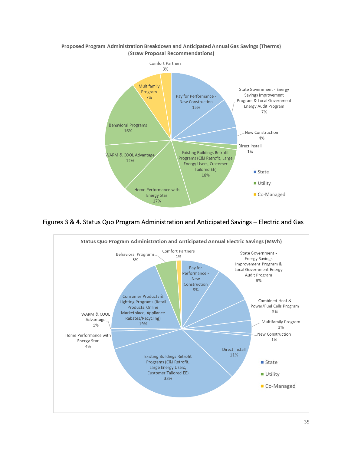

#### Proposed Program Administration Breakdown and Anticipated Annual Gas Savings (Therms) (Straw Proposal Recommendations)

Figures 3 & 4. Status Quo Program Administration and Anticipated Savings – Electric and Gas

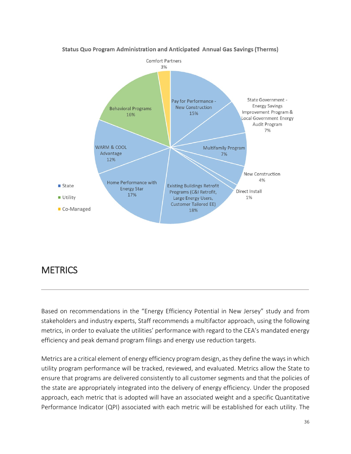

#### Status Quo Program Administration and Anticipated Annual Gas Savings (Therms)

## <span id="page-35-0"></span>**METRICS**

Based on recommendations in the "Energy Efficiency Potential in New Jersey" study and from stakeholders and industry experts, Staff recommends a multifactor approach, using the following metrics, in order to evaluate the utilities' performance with regard to the CEA's mandated energy efficiency and peak demand program filings and energy use reduction targets.

Metrics are a critical element of energy efficiency program design, as they define the ways in which utility program performance will be tracked, reviewed, and evaluated. Metrics allow the State to ensure that programs are delivered consistently to all customer segments and that the policies of the state are appropriately integrated into the delivery of energy efficiency. Under the proposed approach, each metric that is adopted will have an associated weight and a specific Quantitative Performance Indicator (QPI) associated with each metric will be established for each utility. The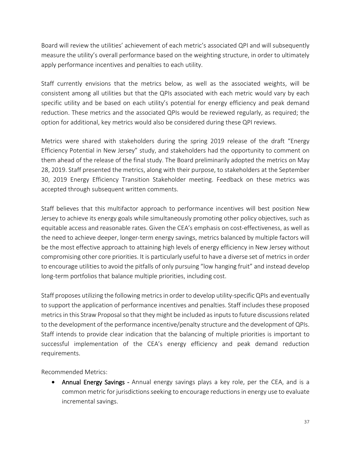Board will review the utilities' achievement of each metric's associated QPI and will subsequently measure the utility's overall performance based on the weighting structure, in order to ultimately apply performance incentives and penalties to each utility.

Staff currently envisions that the metrics below, as well as the associated weights, will be consistent among all utilities but that the QPIs associated with each metric would vary by each specific utility and be based on each utility's potential for energy efficiency and peak demand reduction. These metrics and the associated QPIs would be reviewed regularly, as required; the option for additional, key metrics would also be considered during these QPI reviews.

Metrics were shared with stakeholders during the spring 2019 release of the draft "Energy Efficiency Potential in New Jersey" study, and stakeholders had the opportunity to comment on them ahead of the release of the final study. The Board preliminarily adopted the metrics on May 28, 2019. Staff presented the metrics, along with their purpose, to stakeholders at the September 30, 2019 Energy Efficiency Transition Stakeholder meeting. Feedback on these metrics was accepted through subsequent written comments.

Staff believes that this multifactor approach to performance incentives will best position New Jersey to achieve its energy goals while simultaneously promoting other policy objectives, such as equitable access and reasonable rates. Given the CEA's emphasis on cost-effectiveness, as well as the need to achieve deeper, longer-term energy savings, metrics balanced by multiple factors will be the most effective approach to attaining high levels of energy efficiency in New Jersey without compromising other core priorities. It is particularly useful to have a diverse set of metrics in order to encourage utilities to avoid the pitfalls of only pursuing "low hanging fruit" and instead develop long-term portfolios that balance multiple priorities, including cost.

Staff proposes utilizing the following metrics in order to develop utility-specific QPIs and eventually to support the application of performance incentives and penalties. Staff includes these proposed metrics in this Straw Proposal so that they might be included as inputs to future discussions related to the development of the performance incentive/penalty structure and the development of QPIs. Staff intends to provide clear indication that the balancing of multiple priorities is important to successful implementation of the CEA's energy efficiency and peak demand reduction requirements.

Recommended Metrics:

• Annual Energy Savings - Annual energy savings plays a key role, per the CEA, and is a common metric for jurisdictions seeking to encourage reductions in energy use to evaluate incremental savings.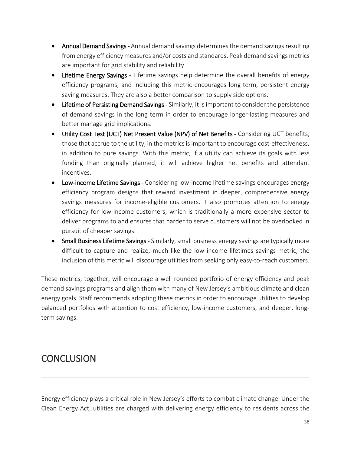- Annual Demand Savings Annual demand savings determines the demand savings resulting from energy efficiency measures and/or costs and standards. Peak demand savings metrics are important for grid stability and reliability.
- Lifetime Energy Savings Lifetime savings help determine the overall benefits of energy efficiency programs, and including this metric encourages long-term, persistent energy saving measures. They are also a better comparison to supply side options.
- Lifetime of Persisting Demand Savings Similarly, it is important to consider the persistence of demand savings in the long term in order to encourage longer-lasting measures and better manage grid implications.
- Utility Cost Test (UCT) Net Present Value (NPV) of Net Benefits Considering UCT benefits, those that accrue to the utility, in the metricsis important to encourage cost-effectiveness, in addition to pure savings. With this metric, if a utility can achieve its goals with less funding than originally planned, it will achieve higher net benefits and attendant incentives.
- Low-income Lifetime Savings Considering low-income lifetime savings encourages energy efficiency program designs that reward investment in deeper, comprehensive energy savings measures for income-eligible customers. It also promotes attention to energy efficiency for low-income customers, which is traditionally a more expensive sector to deliver programs to and ensures that harder to serve customers will not be overlooked in pursuit of cheaper savings.
- Small Business Lifetime Savings Similarly, small business energy savings are typically more difficult to capture and realize; much like the low income lifetimes savings metric, the inclusion of this metric will discourage utilities from seeking only easy-to-reach customers.

These metrics, together, will encourage a well-rounded portfolio of energy efficiency and peak demand savings programs and align them with many of New Jersey's ambitious climate and clean energy goals. Staff recommends adopting these metrics in order to encourage utilities to develop balanced portfolios with attention to cost efficiency, low-income customers, and deeper, longterm savings.

## <span id="page-37-0"></span>**CONCLUSION**

Energy efficiency plays a critical role in New Jersey's efforts to combat climate change. Under the Clean Energy Act, utilities are charged with delivering energy efficiency to residents across the